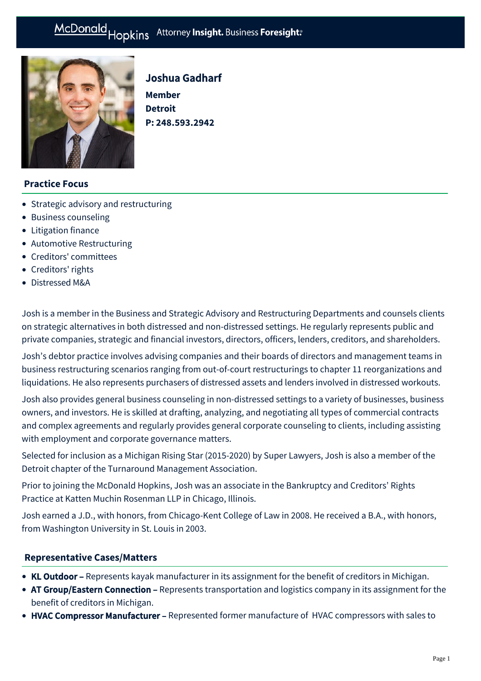

# Joshua Gadharf

**Member Detroit P: [248.593.2942](tel:248.593.2942)**

# **Practice Focus**

- [Strategic advisory and restructuring](https://mcdonaldhopkins.com/Expertise/Strategic-advisory-and-restructuring)
- [Business counseling](https://mcdonaldhopkins.com/Expertise/Business-counseling)
- [Litigation finance](https://mcdonaldhopkins.com/Expertise/Litigation/Litigation-finance)
- [Automotive Restructuring](https://mcdonaldhopkins.com/Expertise/Strategic-advisory-and-restructuring/Automotive-Restructuring)
- [Creditors' committees](https://mcdonaldhopkins.com/Expertise/Strategic-advisory-and-restructuring/Creditors-committees)
- [Creditors' rights](https://mcdonaldhopkins.com/Expertise/Strategic-advisory-and-restructuring/Creditors-rights)
- [Distressed M&A](https://mcdonaldhopkins.com/Expertise/Strategic-advisory-and-restructuring/Distressed-M-A)

Josh is a member in the Business and Strategic Advisory and Restructuring Departments and counsels clients on strategic alternatives in both distressed and non-distressed settings. He regularly represents public and private companies, strategic and financial investors, directors, officers, lenders, creditors, and shareholders.

Josh's debtor practice involves advising companies and their boards of directors and management teams in business restructuring scenarios ranging from out-of-court restructurings to chapter 11 reorganizations and liquidations. He also represents purchasers of distressed assets and lenders involved in distressed workouts.

Josh also provides general business counseling in non-distressed settings to a variety of businesses, business owners, and investors. He is skilled at drafting, analyzing, and negotiating all types of commercial contracts and complex agreements and regularly provides general corporate counseling to clients, including assisting with employment and corporate governance matters.

Selected for inclusion as a Michigan Rising Star (2015-2020) by Super Lawyers, Josh is also a member of the Detroit chapter of the Turnaround Management Association.

Prior to joining the McDonald Hopkins, Josh was an associate in the Bankruptcy and Creditors' Rights Practice at Katten Muchin Rosenman LLP in Chicago, Illinois.

Josh earned a J.D., with honors, from Chicago-Kent College of Law in 2008. He received a B.A., with honors, from Washington University in St. Louis in 2003.

### **[Representative Cases/Matters](#page-0-0)**

- <span id="page-0-0"></span>• KL Outdoor - Represents kayak manufacturer in its assignment for the benefit of creditors in Michigan.
- AT Group/Eastern Connection Represents transportation and logistics company in its assignment for the benefit of creditors in Michigan.
- HVAC Compressor Manufacturer Represented former manufacture of HVAC compressors with sales to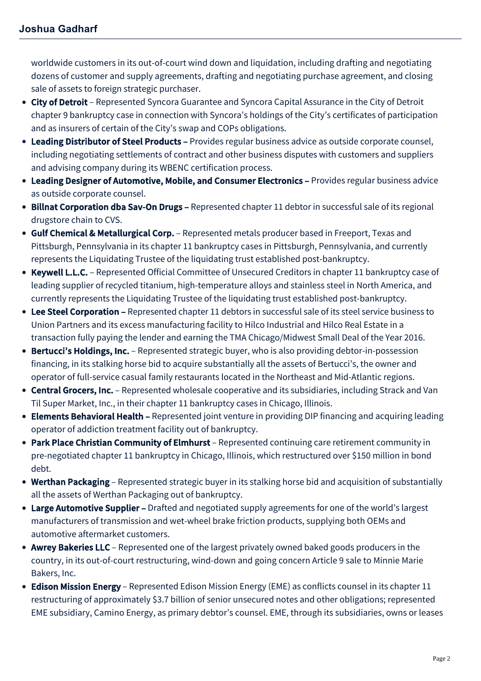worldwide customers in its out-of-court wind down and liquidation, including drafting and negotiating dozens of customer and supply agreements, drafting and negotiating purchase agreement, and closing sale of assets to foreign strategic purchaser.

- City of Detroit Represented Syncora Guarantee and Syncora Capital Assurance in the City of Detroit chapter 9 bankruptcy case in connection with Syncora's holdings of the City's certificates of participation and as insurers of certain of the City's swap and COPs obligations.
- Leading Distributor of Steel Products Provides regular business advice as outside corporate counsel, including negotiating settlements of contract and other business disputes with customers and suppliers and advising company during its WBENC certification process.
- Leading Designer of Automotive, Mobile, and Consumer Electronics Provides regular business advice as outside corporate counsel.
- Billnat Corporation dba Sav-On Drugs Represented chapter 11 debtor in successful sale of its regional drugstore chain to CVS.
- **Gulf Chemical & Metallurgical Corp.** Represented metals producer based in Freeport, Texas and Pittsburgh, Pennsylvania in its chapter 11 bankruptcy cases in Pittsburgh, Pennsylvania, and currently represents the Liquidating Trustee of the liquidating trust established post-bankruptcy.
- Keywell L.L.C. Represented Official Committee of Unsecured Creditors in chapter 11 bankruptcy case of leading supplier of recycled titanium, high-temperature alloys and stainless steel in North America, and currently represents the Liquidating Trustee of the liquidating trust established post-bankruptcy.
- Lee Steel Corporation Represented chapter 11 debtors in successful sale of its steel service business to Union Partners and its excess manufacturing facility to Hilco Industrial and Hilco Real Estate in a transaction fully paying the lender and earning the TMA Chicago/Midwest Small Deal of the Year 2016.
- Bertucci's Holdings, Inc. Represented strategic buyer, who is also providing debtor-in-possession financing, in its stalking horse bid to acquire substantially all the assets of Bertucci's, the owner and operator of full-service casual family restaurants located in the Northeast and Mid-Atlantic regions.
- Central Grocers, Inc. Represented wholesale cooperative and its subsidiaries, including Strack and Van Til Super Market, Inc., in their chapter 11 bankruptcy cases in Chicago, Illinois.
- Elements Behavioral Health Represented joint venture in providing DIP financing and acquiring leading operator of addiction treatment facility out of bankruptcy.
- Park Place Christian Community of Elmhurst Represented continuing care retirement community in pre-negotiated chapter 11 bankruptcy in Chicago, Illinois, which restructured over \$150 million in bond debt.
- Werthan Packaging Represented strategic buyer in its stalking horse bid and acquisition of substantially all the assets of Werthan Packaging out of bankruptcy.
- Large Automotive Supplier Drafted and negotiated supply agreements for one of the world's largest manufacturers of transmission and wet-wheel brake friction products, supplying both OEMs and automotive aftermarket customers.
- Awrey Bakeries LLC Represented one of the largest privately owned baked goods producers in the country, in its out-of-court restructuring, wind-down and going concern Article 9 sale to Minnie Marie Bakers, Inc.
- Edison Mission Energy Represented Edison Mission Energy (EME) as conflicts counsel in its chapter 11 restructuring of approximately \$3.7 billion of senior unsecured notes and other obligations; represented EME subsidiary, Camino Energy, as primary debtor's counsel. EME, through its subsidiaries, owns or leases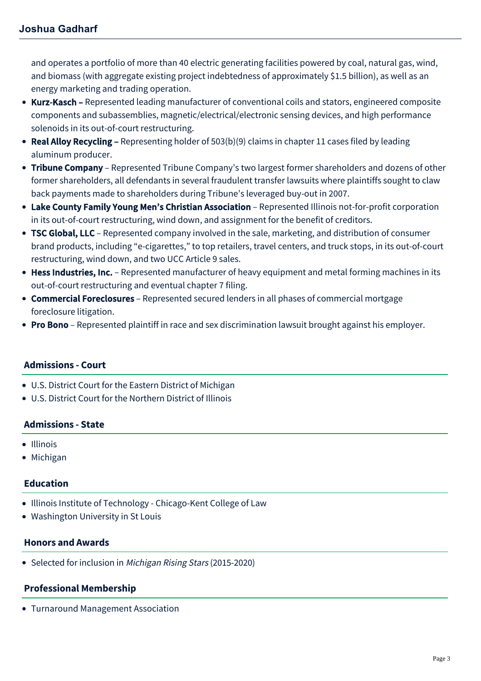and operates a portfolio of more than 40 electric generating facilities powered by coal, natural gas, wind, and biomass (with aggregate existing project indebtedness of approximately \$1.5 billion), as well as an energy marketing and trading operation.

- Kurz-Kasch Represented leading manufacturer of conventional coils and stators, engineered composite components and subassemblies, magnetic/electrical/electronic sensing devices, and high performance solenoids in its out-of-court restructuring.
- Real Alloy Recycling Representing holder of  $503(b)(9)$  claims in chapter 11 cases filed by leading aluminum producer.
- Tribune Company Represented Tribune Company's two largest former shareholders and dozens of other former shareholders, all defendants in several fraudulent transfer lawsuits where plaintiffs sought to claw back payments made to shareholders during Tribune's leveraged buy-out in 2007.
- Lake County Family Young Men's Christian Association Represented Illinois not-for-profit corporation in its out-of-court restructuring, wind down, and assignment for the benefit of creditors.
- TSC Global, LLC Represented company involved in the sale, marketing, and distribution of consumer brand products, including "e-cigarettes," to top retailers, travel centers, and truck stops, in its out-of-court restructuring, wind down, and two UCC Article 9 sales.
- Hess Industries, Inc. Represented manufacturer of heavy equipment and metal forming machines in its out-of-court restructuring and eventual chapter 7 filing.
- Commercial Foreclosures Represented secured lenders in all phases of commercial mortgage foreclosure litigation.
- Pro Bono Represented plaintiff in race and sex discrimination lawsuit brought against his employer.

# **Admissions - Court**

- U.S. District Court for the Eastern District of Michigan
- U.S. District Court for the Northern District of Illinois

### **Admissions - State**

- Illinois
- Michigan

### **Education**

- Illinois Institute of Technology Chicago-Kent College of Law
- Washington University in St Louis

### **Honors and Awards**

• Selected for inclusion in Michigan Rising Stars (2015-2020)

# **Professional Membership**

Turnaround Management Association